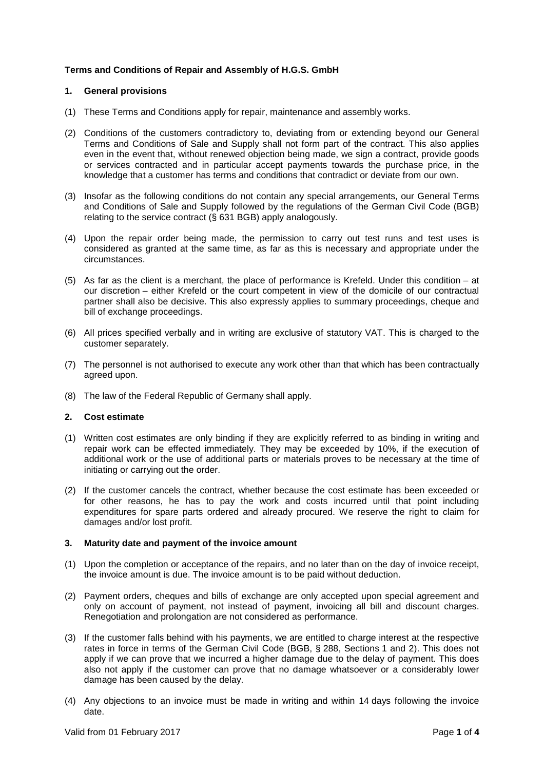# **Terms and Conditions of Repair and Assembly of H.G.S. GmbH**

### **1. General provisions**

- (1) These Terms and Conditions apply for repair, maintenance and assembly works.
- (2) Conditions of the customers contradictory to, deviating from or extending beyond our General Terms and Conditions of Sale and Supply shall not form part of the contract. This also applies even in the event that, without renewed objection being made, we sign a contract, provide goods or services contracted and in particular accept payments towards the purchase price, in the knowledge that a customer has terms and conditions that contradict or deviate from our own.
- (3) Insofar as the following conditions do not contain any special arrangements, our General Terms and Conditions of Sale and Supply followed by the regulations of the German Civil Code (BGB) relating to the service contract (§ 631 BGB) apply analogously.
- (4) Upon the repair order being made, the permission to carry out test runs and test uses is considered as granted at the same time, as far as this is necessary and appropriate under the circumstances.
- (5) As far as the client is a merchant, the place of performance is Krefeld. Under this condition at our discretion – either Krefeld or the court competent in view of the domicile of our contractual partner shall also be decisive. This also expressly applies to summary proceedings, cheque and bill of exchange proceedings.
- (6) All prices specified verbally and in writing are exclusive of statutory VAT. This is charged to the customer separately.
- (7) The personnel is not authorised to execute any work other than that which has been contractually agreed upon.
- (8) The law of the Federal Republic of Germany shall apply.

## **2. Cost estimate**

- (1) Written cost estimates are only binding if they are explicitly referred to as binding in writing and repair work can be effected immediately. They may be exceeded by 10%, if the execution of additional work or the use of additional parts or materials proves to be necessary at the time of initiating or carrying out the order.
- (2) If the customer cancels the contract, whether because the cost estimate has been exceeded or for other reasons, he has to pay the work and costs incurred until that point including expenditures for spare parts ordered and already procured. We reserve the right to claim for damages and/or lost profit.

### **3. Maturity date and payment of the invoice amount**

- (1) Upon the completion or acceptance of the repairs, and no later than on the day of invoice receipt, the invoice amount is due. The invoice amount is to be paid without deduction.
- (2) Payment orders, cheques and bills of exchange are only accepted upon special agreement and only on account of payment, not instead of payment, invoicing all bill and discount charges. Renegotiation and prolongation are not considered as performance.
- (3) If the customer falls behind with his payments, we are entitled to charge interest at the respective rates in force in terms of the German Civil Code (BGB, § 288, Sections 1 and 2). This does not apply if we can prove that we incurred a higher damage due to the delay of payment. This does also not apply if the customer can prove that no damage whatsoever or a considerably lower damage has been caused by the delay.
- (4) Any objections to an invoice must be made in writing and within 14 days following the invoice date.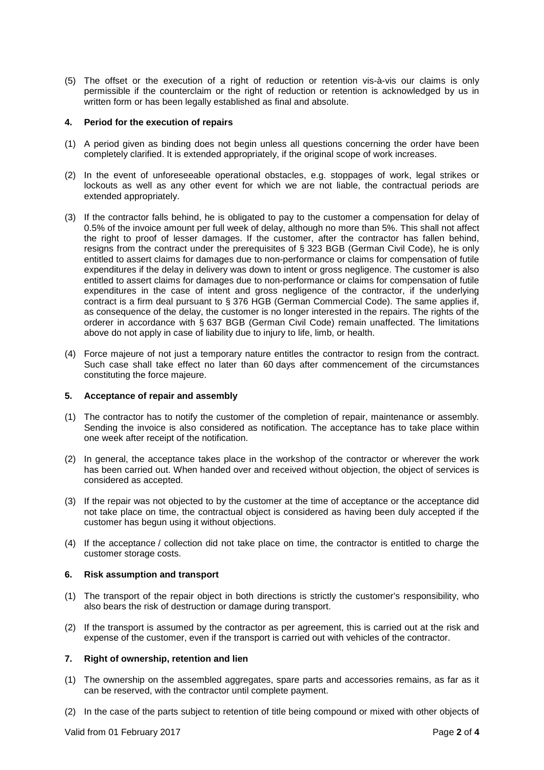(5) The offset or the execution of a right of reduction or retention vis-à-vis our claims is only permissible if the counterclaim or the right of reduction or retention is acknowledged by us in written form or has been legally established as final and absolute.

### **4. Period for the execution of repairs**

- (1) A period given as binding does not begin unless all questions concerning the order have been completely clarified. It is extended appropriately, if the original scope of work increases.
- (2) In the event of unforeseeable operational obstacles, e.g. stoppages of work, legal strikes or lockouts as well as any other event for which we are not liable, the contractual periods are extended appropriately.
- (3) If the contractor falls behind, he is obligated to pay to the customer a compensation for delay of 0.5% of the invoice amount per full week of delay, although no more than 5%. This shall not affect the right to proof of lesser damages. If the customer, after the contractor has fallen behind, resigns from the contract under the prerequisites of § 323 BGB (German Civil Code), he is only entitled to assert claims for damages due to non-performance or claims for compensation of futile expenditures if the delay in delivery was down to intent or gross negligence. The customer is also entitled to assert claims for damages due to non-performance or claims for compensation of futile expenditures in the case of intent and gross negligence of the contractor, if the underlying contract is a firm deal pursuant to § 376 HGB (German Commercial Code). The same applies if, as consequence of the delay, the customer is no longer interested in the repairs. The rights of the orderer in accordance with § 637 BGB (German Civil Code) remain unaffected. The limitations above do not apply in case of liability due to injury to life, limb, or health.
- (4) Force majeure of not just a temporary nature entitles the contractor to resign from the contract. Such case shall take effect no later than 60 days after commencement of the circumstances constituting the force majeure.

# **5. Acceptance of repair and assembly**

- (1) The contractor has to notify the customer of the completion of repair, maintenance or assembly. Sending the invoice is also considered as notification. The acceptance has to take place within one week after receipt of the notification.
- (2) In general, the acceptance takes place in the workshop of the contractor or wherever the work has been carried out. When handed over and received without objection, the object of services is considered as accepted.
- (3) If the repair was not objected to by the customer at the time of acceptance or the acceptance did not take place on time, the contractual object is considered as having been duly accepted if the customer has begun using it without objections.
- (4) If the acceptance / collection did not take place on time, the contractor is entitled to charge the customer storage costs.

### **6. Risk assumption and transport**

- (1) The transport of the repair object in both directions is strictly the customer's responsibility, who also bears the risk of destruction or damage during transport.
- (2) If the transport is assumed by the contractor as per agreement, this is carried out at the risk and expense of the customer, even if the transport is carried out with vehicles of the contractor.

### **7. Right of ownership, retention and lien**

- (1) The ownership on the assembled aggregates, spare parts and accessories remains, as far as it can be reserved, with the contractor until complete payment.
- (2) In the case of the parts subject to retention of title being compound or mixed with other objects of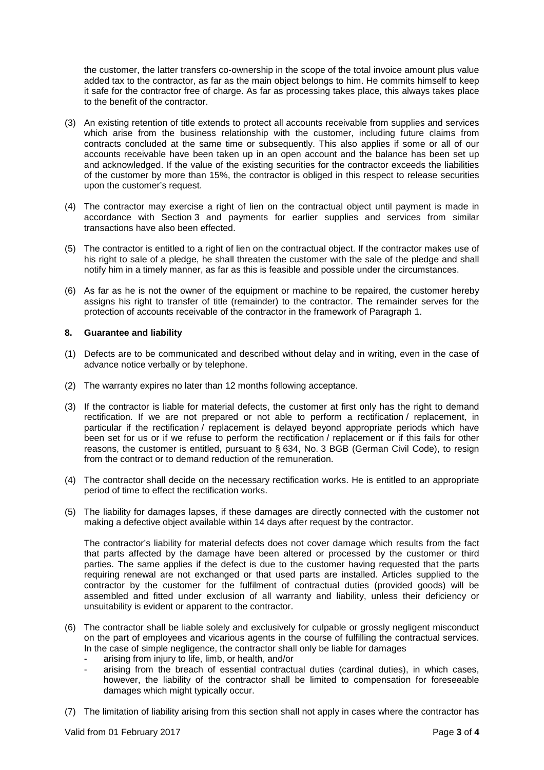the customer, the latter transfers co-ownership in the scope of the total invoice amount plus value added tax to the contractor, as far as the main object belongs to him. He commits himself to keep it safe for the contractor free of charge. As far as processing takes place, this always takes place to the benefit of the contractor.

- (3) An existing retention of title extends to protect all accounts receivable from supplies and services which arise from the business relationship with the customer, including future claims from contracts concluded at the same time or subsequently. This also applies if some or all of our accounts receivable have been taken up in an open account and the balance has been set up and acknowledged. If the value of the existing securities for the contractor exceeds the liabilities of the customer by more than 15%, the contractor is obliged in this respect to release securities upon the customer's request.
- (4) The contractor may exercise a right of lien on the contractual object until payment is made in accordance with Section 3 and payments for earlier supplies and services from similar transactions have also been effected.
- (5) The contractor is entitled to a right of lien on the contractual object. If the contractor makes use of his right to sale of a pledge, he shall threaten the customer with the sale of the pledge and shall notify him in a timely manner, as far as this is feasible and possible under the circumstances.
- (6) As far as he is not the owner of the equipment or machine to be repaired, the customer hereby assigns his right to transfer of title (remainder) to the contractor. The remainder serves for the protection of accounts receivable of the contractor in the framework of Paragraph 1.

# **8. Guarantee and liability**

- (1) Defects are to be communicated and described without delay and in writing, even in the case of advance notice verbally or by telephone.
- (2) The warranty expires no later than 12 months following acceptance.
- (3) If the contractor is liable for material defects, the customer at first only has the right to demand rectification. If we are not prepared or not able to perform a rectification / replacement, in particular if the rectification / replacement is delayed beyond appropriate periods which have been set for us or if we refuse to perform the rectification / replacement or if this fails for other reasons, the customer is entitled, pursuant to § 634, No. 3 BGB (German Civil Code), to resign from the contract or to demand reduction of the remuneration.
- (4) The contractor shall decide on the necessary rectification works. He is entitled to an appropriate period of time to effect the rectification works.
- (5) The liability for damages lapses, if these damages are directly connected with the customer not making a defective object available within 14 days after request by the contractor.

The contractor's liability for material defects does not cover damage which results from the fact that parts affected by the damage have been altered or processed by the customer or third parties. The same applies if the defect is due to the customer having requested that the parts requiring renewal are not exchanged or that used parts are installed. Articles supplied to the contractor by the customer for the fulfilment of contractual duties (provided goods) will be assembled and fitted under exclusion of all warranty and liability, unless their deficiency or unsuitability is evident or apparent to the contractor.

- (6) The contractor shall be liable solely and exclusively for culpable or grossly negligent misconduct on the part of employees and vicarious agents in the course of fulfilling the contractual services. In the case of simple negligence, the contractor shall only be liable for damages
	- arising from injury to life, limb, or health, and/or
	- arising from the breach of essential contractual duties (cardinal duties), in which cases, however, the liability of the contractor shall be limited to compensation for foreseeable damages which might typically occur.
- (7) The limitation of liability arising from this section shall not apply in cases where the contractor has